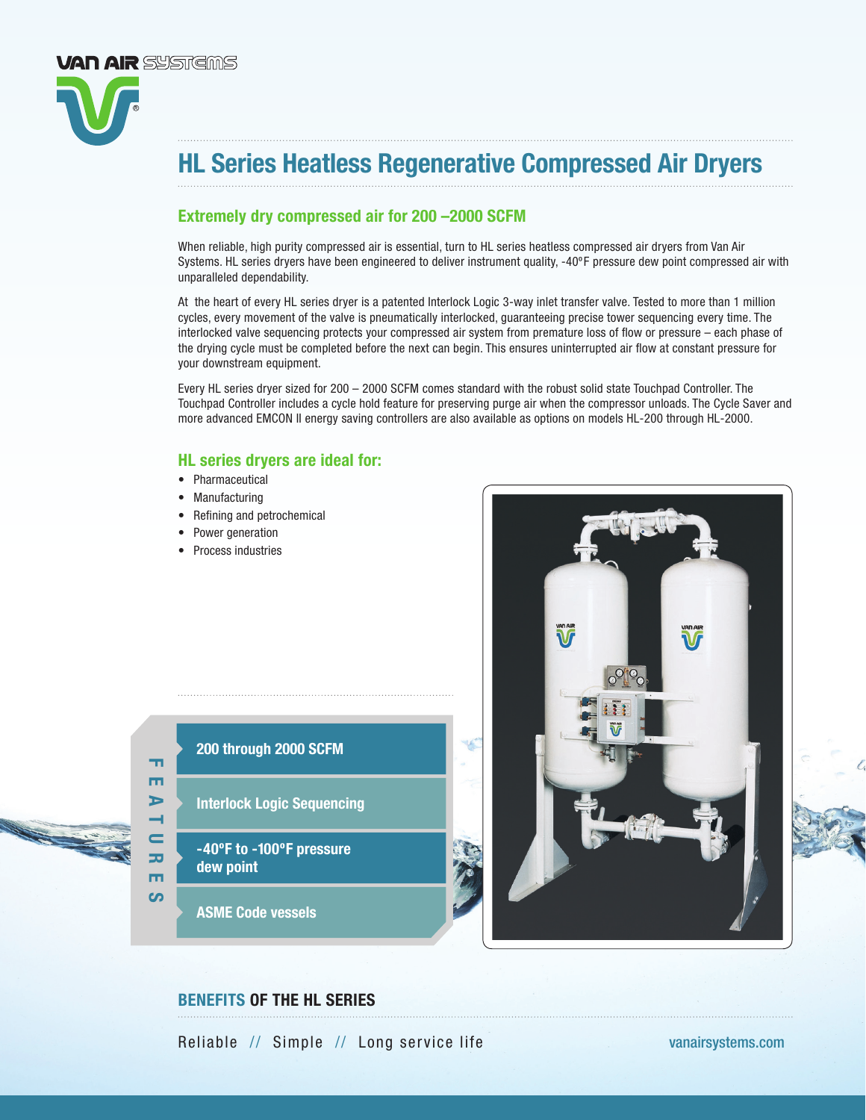

# Extremely dry compressed air for 200 –2000 SCFM

When reliable, high purity compressed air is essential, turn to HL series heatless compressed air dryers from Van Air Systems. HL series dryers have been engineered to deliver instrument quality, -40ºF pressure dew point compressed air with unparalleled dependability.

At the heart of every HL series dryer is a patented Interlock Logic 3-way inlet transfer valve. Tested to more than 1 million cycles, every movement of the valve is pneumatically interlocked, guaranteeing precise tower sequencing every time. The interlocked valve sequencing protects your compressed air system from premature loss of flow or pressure – each phase of the drying cycle must be completed before the next can begin. This ensures uninterrupted air flow at constant pressure for your downstream equipment.

Every HL series dryer sized for 200 – 2000 SCFM comes standard with the robust solid state Touchpad Controller. The Touchpad Controller includes a cycle hold feature for preserving purge air when the compressor unloads. The Cycle Saver and more advanced EMCON II energy saving controllers are also available as options on models HL-200 through HL-2000.

# HL series dryers are ideal for:

• Pharmaceutical

**VAN AIR** SYSTEMS

- Manufacturing
- Refining and petrochemical
- Power generation
- Process industries



- Interlock Logic Sequencing
- -40ºF to -100ºF pressure dew point

ASME Code vessels

FEATURES

 $\mathbf -$ ᇰ m ပာ

m m  $\triangleright$ 



# BENEFITS OF THE HL SERIES

Reliable // Simple // Long service life [vanairsystems.com](http://www.vanairsystems.com)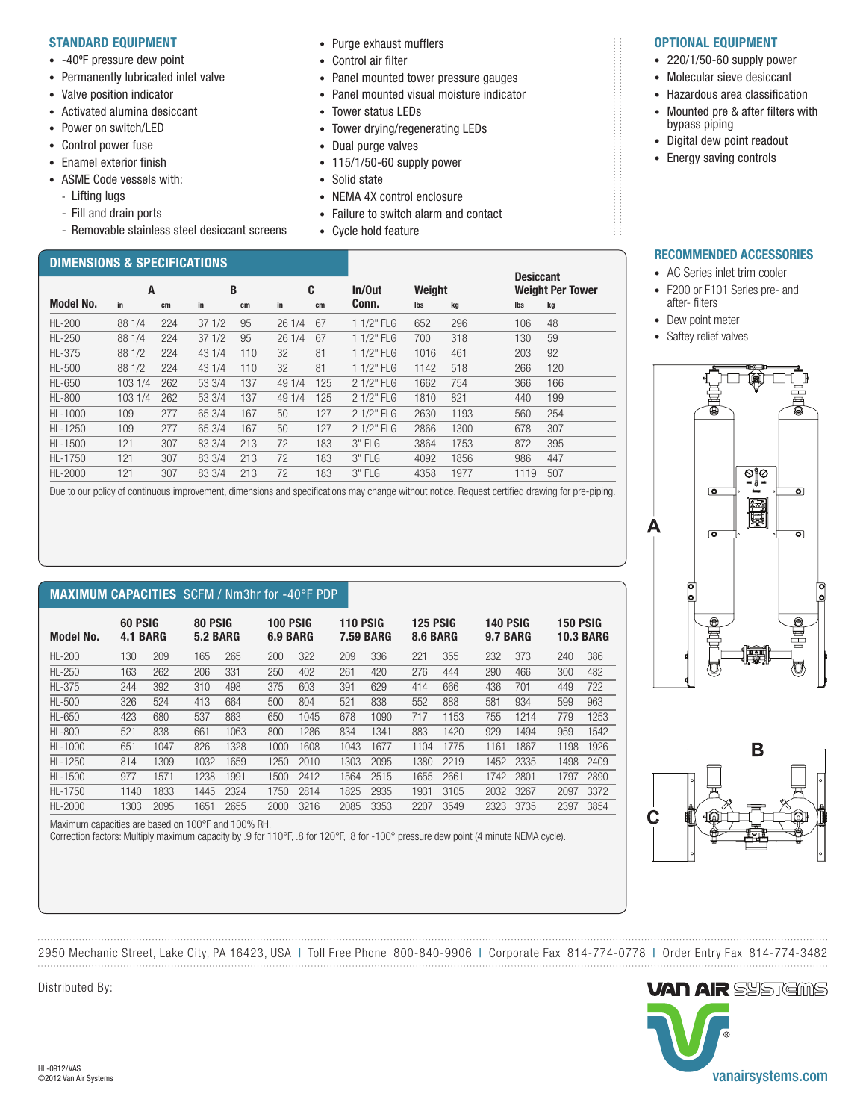#### STANDARD EQUIPMENT

- -40ºF pressure dew point
- Permanently lubricated inlet valve
- Valve position indicator
- Activated alumina desiccant
- Power on switch/LFD
- Control power fuse
- Enamel exterior finish
- ASME Code vessels with:
	- Lifting lugs
	- Fill and drain ports
	- Removable stainless steel desiccant screens

# DIMENSIONS & SPECIFICATIONS

- Purge exhaust mufflers
- Control air filter
- Panel mounted tower pressure gauges
- Panel mounted visual moisture indicator
- Tower status LEDs
- Tower drying/regenerating LEDs
- Dual purge valves
- 115/1/50-60 supply power
- Solid state

<u>Desiccant and the control of the control of the control of the control of the control of the control of the con</u>

Model No. in cm in cm in cm Conn. lbs kg lbs kg HL-200 88 1/4 224 37 1/2 95 26 1/4 67 1 1/2" FLG 652 296 106 48 HL-250 88 1/4 224 37 1/2 95 26 1/4 67 1 1/2" FLG 700 318 130 59 HL-375 88 1/2 224 43 1/4 110 32 81 1 1/2" FLG 1016 461 203 92 HL-500 88 1/2 224 43 1/4 110 32 81 1 1/2" FLG 1142 518 266 120 HL-650 103 1/4 262 53 3/4 137 49 1/4 125 2 1/2" FLG 1662 754 366 166 HL-800 103 1/4 262 53 3/4 137 49 1/4 125 2 1/2" FLG 1810 821 440 199 HL-1000 109 277 65 3/4 167 50 127 2 1/2" FLG 2630 1193 560 254 HL-1250 109 277 65 3/4 167 50 127 2 1/2" FLG 2866 1300 678 307 HL-1500 121 307 83 3/4 213 72 183 3" FLG 3864 1753 872 395 HL-1750 121 307 83 3/4 213 72 183 3" FLG 4092 1856 986 447 HL-2000 121 307 83 3/4 213 72 183 3" FLG 4358 1977 1119 507

- NEMA 4X control enclosure
- Failure to switch alarm and contact
- Cycle hold feature

A B C In/Out Weight Weight Per Tower

#### OPTIONAL EQUIPMENT

- 220/1/50-60 supply power
- Molecular sieve desiccant
- Hazardous area classification
- Mounted pre & after filters with bypass piping
- Digital dew point readout
- Energy saving controls

#### RECOMMENDED ACCESSORIES

- AC Series inlet trim cooler
- F200 or F101 Series pre- and after- filters
- Dew point meter
- Saftey relief valves





2950 Mechanic Street, Lake City, PA 16423, USA | Toll Free Phone 800-840-9906 | Corporate Fax 814-774-0778 | Order Entry Fax 814-774-3482 . . . . . . . . . . . . . . . .



| <b>Model No.</b> | 60 PSIG<br>4.1 BARG |      | 80 PSIG<br><b>5.2 BARG</b> |      | 100 PSIG<br><b>6.9 BARG</b> |      | <b>110 PSIG</b><br><b>7.59 BARG</b> |      |      | 125 PSIG<br>8.6 BARG |      | 140 PSIG<br><b>9.7 BARG</b> |      | 150 PSIG<br><b>10.3 BARG</b> |  |
|------------------|---------------------|------|----------------------------|------|-----------------------------|------|-------------------------------------|------|------|----------------------|------|-----------------------------|------|------------------------------|--|
| <b>HL-200</b>    | 130                 | 209  | 165                        | 265  | 200                         | 322  | 209                                 | 336  | 221  | 355                  | 232  | 373                         | 240  | 386                          |  |
| $HL-250$         | 163                 | 262  | 206                        | 331  | 250                         | 402  | 261                                 | 420  | 276  | 444                  | 290  | 466                         | 300  | 482                          |  |
| <b>HL-375</b>    | 244                 | 392  | 310                        | 498  | 375                         | 603  | 391                                 | 629  | 414  | 666                  | 436  | 701                         | 449  | 722                          |  |
| <b>HL-500</b>    | 326                 | 524  | 413                        | 664  | 500                         | 804  | 521                                 | 838  | 552  | 888                  | 581  | 934                         | 599  | 963                          |  |
| <b>HL-650</b>    | 423                 | 680  | 537                        | 863  | 650                         | 1045 | 678                                 | 1090 | 717  | 1153                 | 755  | 1214                        | 779  | 1253                         |  |
| <b>HL-800</b>    | 521                 | 838  | 661                        | 1063 | 800                         | 1286 | 834                                 | 1341 | 883  | 1420                 | 929  | 1494                        | 959  | 1542                         |  |
| $HL-1000$        | 651                 | 1047 | 826                        | 1328 | 1000                        | 1608 | 1043                                | 1677 | 1104 | 1775                 | 1161 | 1867                        | 1198 | 1926                         |  |
| $HL-1250$        | 814                 | 1309 | 1032                       | 1659 | 1250                        | 2010 | 1303                                | 2095 | 1380 | 2219                 | 1452 | 2335                        | 1498 | 2409                         |  |
| $HL-1500$        | 977                 | 1571 | 1238                       | 1991 | 1500                        | 2412 | 1564                                | 2515 | 1655 | 2661                 | 1742 | 2801                        | 1797 | 2890                         |  |
| $HL-1750$        | 1140                | 1833 | 1445                       | 2324 | 1750                        | 2814 | 1825                                | 2935 | 1931 | 3105                 | 2032 | 3267                        | 2097 | 3372                         |  |
| HL-2000          | 1303                | 2095 | 1651                       | 2655 | 2000                        | 3216 | 2085                                | 3353 | 2207 | 3549                 | 2323 | 3735                        | 2397 | 3854                         |  |

Due to our policy of continuous improvement, dimensions and specifications may change without notice. Request certified drawing for pre-piping.

Maximum capacities are based on 100°F and 100% RH.

Correction factors: Multiply maximum capacity by .9 for 110°F, .8 for 120°F, .8 for -100° pressure dew point (4 minute NEMA cycle).

Distributed By: